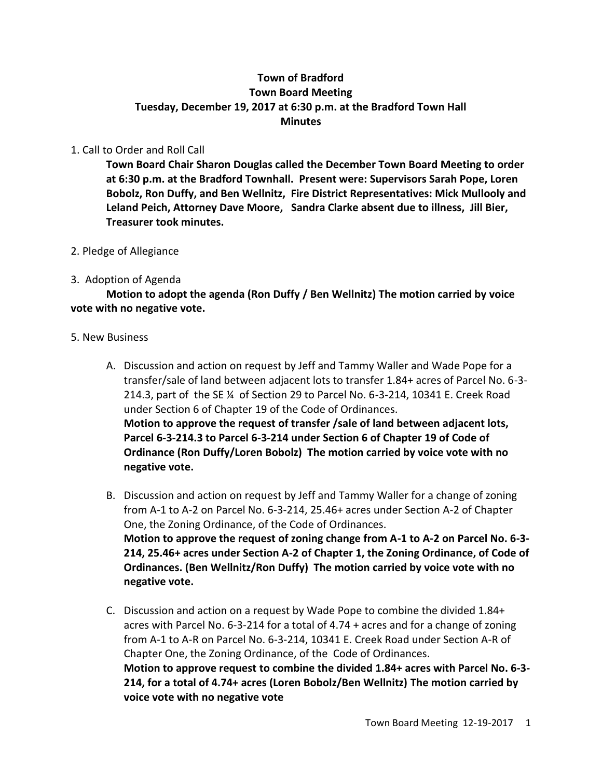# **Town of Bradford Town Board Meeting Tuesday, December 19, 2017 at 6:30 p.m. at the Bradford Town Hall Minutes**

#### 1. Call to Order and Roll Call

**Town Board Chair Sharon Douglas called the December Town Board Meeting to order at 6:30 p.m. at the Bradford Townhall. Present were: Supervisors Sarah Pope, Loren Bobolz, Ron Duffy, and Ben Wellnitz, Fire District Representatives: Mick Mullooly and Leland Peich, Attorney Dave Moore, Sandra Clarke absent due to illness, Jill Bier, Treasurer took minutes.**

2. Pledge of Allegiance

## 3. Adoption of Agenda

**Motion to adopt the agenda (Ron Duffy / Ben Wellnitz) The motion carried by voice vote with no negative vote.**

## 5. New Business

- A. Discussion and action on request by Jeff and Tammy Waller and Wade Pope for a transfer/sale of land between adjacent lots to transfer 1.84+ acres of Parcel No. 6-3- 214.3, part of the SE ¼ of Section 29 to Parcel No. 6-3-214, 10341 E. Creek Road under Section 6 of Chapter 19 of the Code of Ordinances. **Motion to approve the request of transfer /sale of land between adjacent lots, Parcel 6-3-214.3 to Parcel 6-3-214 under Section 6 of Chapter 19 of Code of Ordinance (Ron Duffy/Loren Bobolz) The motion carried by voice vote with no negative vote.**
- B. Discussion and action on request by Jeff and Tammy Waller for a change of zoning from A-1 to A-2 on Parcel No. 6-3-214, 25.46+ acres under Section A-2 of Chapter One, the Zoning Ordinance, of the Code of Ordinances. **Motion to approve the request of zoning change from A-1 to A-2 on Parcel No. 6-3- 214, 25.46+ acres under Section A-2 of Chapter 1, the Zoning Ordinance, of Code of Ordinances. (Ben Wellnitz/Ron Duffy) The motion carried by voice vote with no negative vote.**
- C. Discussion and action on a request by Wade Pope to combine the divided 1.84+ acres with Parcel No. 6-3-214 for a total of 4.74 + acres and for a change of zoning from A-1 to A-R on Parcel No. 6-3-214, 10341 E. Creek Road under Section A-R of Chapter One, the Zoning Ordinance, of the Code of Ordinances. **Motion to approve request to combine the divided 1.84+ acres with Parcel No. 6-3- 214, for a total of 4.74+ acres (Loren Bobolz/Ben Wellnitz) The motion carried by voice vote with no negative vote**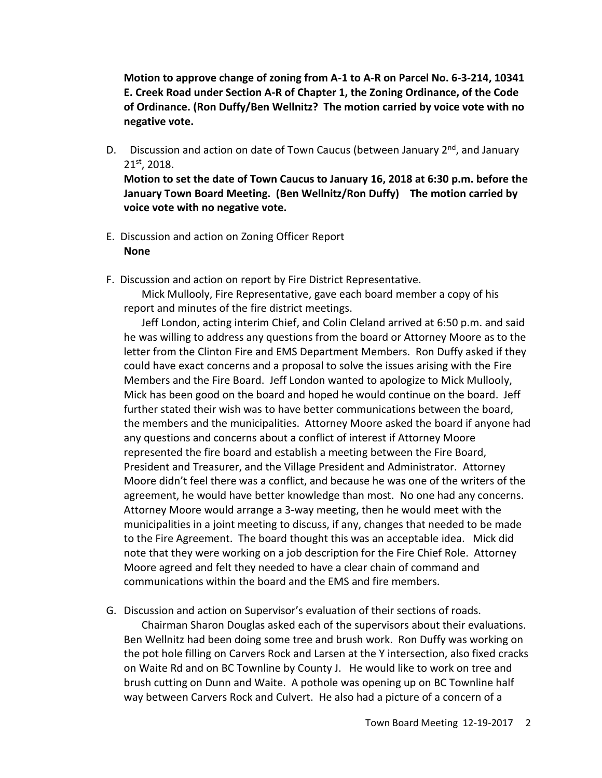**Motion to approve change of zoning from A-1 to A-R on Parcel No. 6-3-214, 10341 E. Creek Road under Section A-R of Chapter 1, the Zoning Ordinance, of the Code of Ordinance. (Ron Duffy/Ben Wellnitz? The motion carried by voice vote with no negative vote.**

D. Discussion and action on date of Town Caucus (between January  $2<sup>nd</sup>$ , and January 21st, 2018.

**Motion to set the date of Town Caucus to January 16, 2018 at 6:30 p.m. before the January Town Board Meeting. (Ben Wellnitz/Ron Duffy) The motion carried by voice vote with no negative vote.**

- E. Discussion and action on Zoning Officer Report **None**
- F. Discussion and action on report by Fire District Representative.

Mick Mullooly, Fire Representative, gave each board member a copy of his report and minutes of the fire district meetings.

Jeff London, acting interim Chief, and Colin Cleland arrived at 6:50 p.m. and said he was willing to address any questions from the board or Attorney Moore as to the letter from the Clinton Fire and EMS Department Members. Ron Duffy asked if they could have exact concerns and a proposal to solve the issues arising with the Fire Members and the Fire Board. Jeff London wanted to apologize to Mick Mullooly, Mick has been good on the board and hoped he would continue on the board. Jeff further stated their wish was to have better communications between the board, the members and the municipalities. Attorney Moore asked the board if anyone had any questions and concerns about a conflict of interest if Attorney Moore represented the fire board and establish a meeting between the Fire Board, President and Treasurer, and the Village President and Administrator. Attorney Moore didn't feel there was a conflict, and because he was one of the writers of the agreement, he would have better knowledge than most. No one had any concerns. Attorney Moore would arrange a 3-way meeting, then he would meet with the municipalities in a joint meeting to discuss, if any, changes that needed to be made to the Fire Agreement. The board thought this was an acceptable idea. Mick did note that they were working on a job description for the Fire Chief Role. Attorney Moore agreed and felt they needed to have a clear chain of command and communications within the board and the EMS and fire members.

G. Discussion and action on Supervisor's evaluation of their sections of roads.

Chairman Sharon Douglas asked each of the supervisors about their evaluations. Ben Wellnitz had been doing some tree and brush work. Ron Duffy was working on the pot hole filling on Carvers Rock and Larsen at the Y intersection, also fixed cracks on Waite Rd and on BC Townline by County J. He would like to work on tree and brush cutting on Dunn and Waite. A pothole was opening up on BC Townline half way between Carvers Rock and Culvert. He also had a picture of a concern of a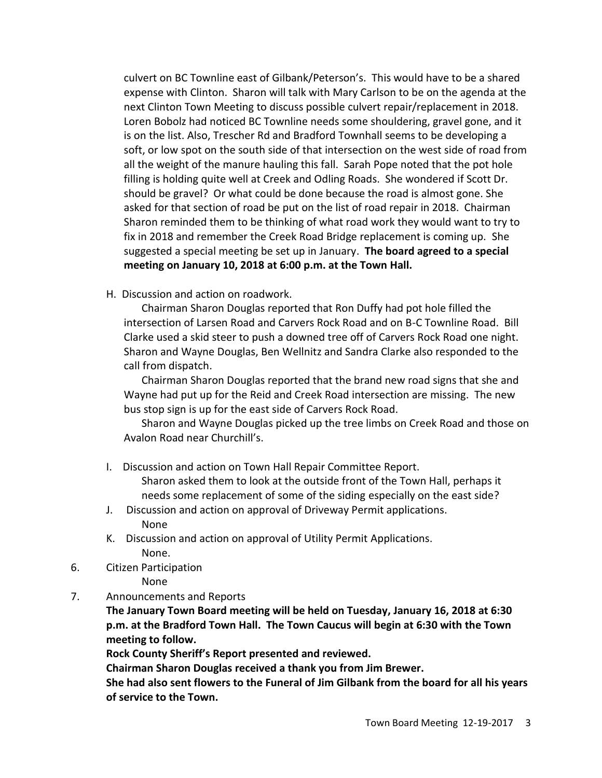culvert on BC Townline east of Gilbank/Peterson's. This would have to be a shared expense with Clinton. Sharon will talk with Mary Carlson to be on the agenda at the next Clinton Town Meeting to discuss possible culvert repair/replacement in 2018. Loren Bobolz had noticed BC Townline needs some shouldering, gravel gone, and it is on the list. Also, Trescher Rd and Bradford Townhall seems to be developing a soft, or low spot on the south side of that intersection on the west side of road from all the weight of the manure hauling this fall. Sarah Pope noted that the pot hole filling is holding quite well at Creek and Odling Roads. She wondered if Scott Dr. should be gravel? Or what could be done because the road is almost gone. She asked for that section of road be put on the list of road repair in 2018. Chairman Sharon reminded them to be thinking of what road work they would want to try to fix in 2018 and remember the Creek Road Bridge replacement is coming up. She suggested a special meeting be set up in January. **The board agreed to a special meeting on January 10, 2018 at 6:00 p.m. at the Town Hall.**

H. Discussion and action on roadwork.

Chairman Sharon Douglas reported that Ron Duffy had pot hole filled the intersection of Larsen Road and Carvers Rock Road and on B-C Townline Road. Bill Clarke used a skid steer to push a downed tree off of Carvers Rock Road one night. Sharon and Wayne Douglas, Ben Wellnitz and Sandra Clarke also responded to the call from dispatch.

Chairman Sharon Douglas reported that the brand new road signs that she and Wayne had put up for the Reid and Creek Road intersection are missing. The new bus stop sign is up for the east side of Carvers Rock Road.

Sharon and Wayne Douglas picked up the tree limbs on Creek Road and those on Avalon Road near Churchill's.

I. Discussion and action on Town Hall Repair Committee Report.

Sharon asked them to look at the outside front of the Town Hall, perhaps it needs some replacement of some of the siding especially on the east side?

- J. Discussion and action on approval of Driveway Permit applications. None
- K. Discussion and action on approval of Utility Permit Applications. None.
- 6. Citizen Participation

None

7. Announcements and Reports

**The January Town Board meeting will be held on Tuesday, January 16, 2018 at 6:30 p.m. at the Bradford Town Hall. The Town Caucus will begin at 6:30 with the Town meeting to follow.**

**Rock County Sheriff's Report presented and reviewed.**

**Chairman Sharon Douglas received a thank you from Jim Brewer.**

**She had also sent flowers to the Funeral of Jim Gilbank from the board for all his years of service to the Town.**